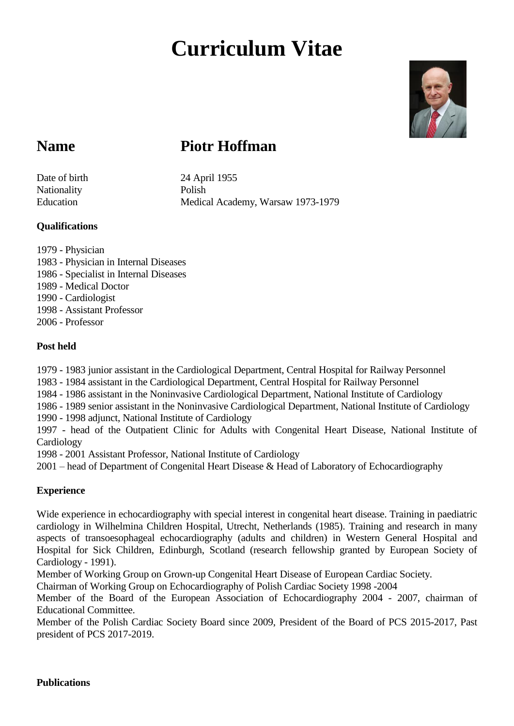# **Curriculum Vitae**



## **Name Piotr Hoffman**

Nationality Polish

Date of birth 24 April 1955 Education Medical Academy, Warsaw 1973-1979

#### **Qualifications**

1979 - Physician 1983 - Physician in Internal Diseases 1986 - Specialist in Internal Diseases 1989 - Medical Doctor 1990 - Cardiologist 1998 - Assistant Professor 2006 - Professor

#### **Post held**

1979 - 1983 junior assistant in the Cardiological Department, Central Hospital for Railway Personnel

1983 - 1984 assistant in the Cardiological Department, Central Hospital for Railway Personnel

1984 - 1986 assistant in the Noninvasive Cardiological Department, National Institute of Cardiology

1986 - 1989 senior assistant in the Noninvasive Cardiological Department, National Institute of Cardiology

1990 - 1998 adjunct, National Institute of Cardiology

1997 - head of the Outpatient Clinic for Adults with Congenital Heart Disease, National Institute of Cardiology

1998 - 2001 Assistant Professor, National Institute of Cardiology

2001 – head of Department of Congenital Heart Disease & Head of Laboratory of Echocardiography

### **Experience**

Wide experience in echocardiography with special interest in congenital heart disease. Training in paediatric cardiology in Wilhelmina Children Hospital, Utrecht, Netherlands (1985). Training and research in many aspects of transoesophageal echocardiography (adults and children) in Western General Hospital and Hospital for Sick Children, Edinburgh, Scotland (research fellowship granted by European Society of Cardiology - 1991).

Member of Working Group on Grown-up Congenital Heart Disease of European Cardiac Society.

Chairman of Working Group on Echocardiography of Polish Cardiac Society 1998 -2004

Member of the Board of the European Association of Echocardiography 2004 - 2007, chairman of Educational Committee.

Member of the Polish Cardiac Society Board since 2009, President of the Board of PCS 2015-2017, Past president of PCS 2017-2019.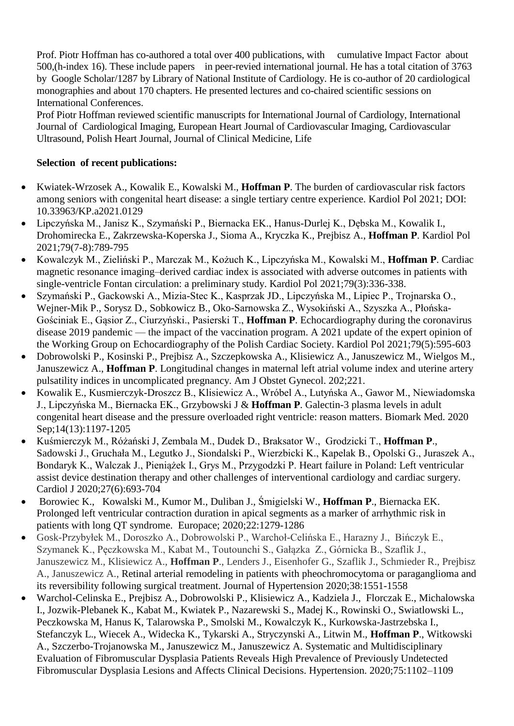Prof. Piotr Hoffman has co-authored a total over 400 publications, with cumulative Impact Factor about 500,(h-index 16). These include papers in peer-revied international journal. He has a total citation of 3763 by Google Scholar/1287 by Library of National Institute of Cardiology. He is co-author of 20 cardiological monographies and about 170 chapters. He presented lectures and co-chaired scientific sessions on International Conferences.

Prof Piotr Hoffman reviewed scientific manuscripts for International Journal of Cardiology, International Journal of Cardiological Imaging, European Heart Journal of Cardiovascular Imaging, Cardiovascular Ultrasound, Polish Heart Journal, Journal of Clinical Medicine, Life

#### **Selection of recent publications:**

- Kwiatek-Wrzosek A., Kowalik E., Kowalski M., **Hoffman P**. The burden of cardiovascular risk factors among seniors with congenital heart disease: a single tertiary centre experience. Kardiol Pol 2021; DOI: 10.33963/KP.a2021.0129
- Lipczyńska M., Janisz K., Szymański P., Biernacka EK., Hanus-Durlej K., Dębska M., Kowalik I., Drohomirecka E., Zakrzewska-Koperska J., Sioma A., Kryczka K., Prejbisz A., **Hoffman P**. Kardiol Pol 2021;79(7-8):789-795
- Kowalczyk M., Zieliński P., Marczak M., Kożuch K., Lipczyńska M., Kowalski M., **Hoffman P**. Cardiac magnetic resonance imaging–derived cardiac index is associated with adverse outcomes in patients with single-ventricle Fontan circulation: a preliminary study. Kardiol Pol 2021;79(3):336-338.
- Szymański P., Gackowski A., Mizia-Stec K., Kasprzak JD., Lipczyńska M., Lipiec P., Trojnarska O., Wejner-Mik P., Sorysz D., Sobkowicz B., Oko-Sarnowska Z., Wysokiński A., Szyszka A., Płońska-Gościniak E., Gąsior Z., Ciurzyński., Pasierski T., **Hoffman P**. Echocardiography during the coronavirus disease 2019 pandemic — the impact of the vaccination program. A 2021 update of the expert opinion of the Working Group on Echocardiography of the Polish Cardiac Society. Kardiol Pol 2021;79(5):595-603
- Dobrowolski P., Kosinski P., Prejbisz A., Szczepkowska A., Klisiewicz A., Januszewicz M., Wielgos M., Januszewicz A., **Hoffman P**. Longitudinal changes in maternal left atrial volume index and uterine artery pulsatility indices in uncomplicated pregnancy. Am J Obstet Gynecol. 202;221.
- Kowalik E., Kusmierczyk-Droszcz B., Klisiewicz A., Wróbel A., Lutyńska A., Gawor M., Niewiadomska J., Lipczyńska M., Biernacka EK., Grzybowski J & **Hoffman P**. Galectin-3 plasma levels in adult congenital heart disease and the pressure overloaded right ventricle: reason matters. Biomark Med. 2020 Sep;14(13):1197-1205
- Kuśmierczyk M., Różański J, Zembala M., Dudek D., Braksator W., Grodzicki T., **Hoffman P**., Sadowski J., Gruchała M., Legutko J., Siondalski P., Wierzbicki K., Kapelak B., Opolski G., Juraszek A., Bondaryk K., Walczak J., Pieniążek I., Grys M., Przygodzki P. Heart failure in Poland: Left ventricular assist device destination therapy and other challenges of interventional cardiology and cardiac surgery. Cardiol J 2020;27(6):693-704
- [Borowiec](javascript:;) K., [Kowalski](javascript:;) M., Kumor M., Duliban J., Śmigielski W., **Hoffman P**., Biernacka EK. Prolonged left ventricular contraction duration in apical segments as a marker of arrhythmic risk in patients with long QT syndrome. Europace; 2020;22:1279-1286
- Gosk-Przybyłek M., Doroszko A., Dobrowolski P., Warchoł-Celińska E., Harazny J., Bińczyk E., Szymanek K., Pęczkowska M., Kabat M., Toutounchi S., Gałązka Z., Górnicka B., Szaflik J., Januszewicz M., Klisiewicz A., **Hoffman P**., Lenders J., Eisenhofer G., Szaflik J., Schmieder R., Prejbisz A., Januszewicz A., Retinal arterial remodeling in patients with pheochromocytoma or paraganglioma and its reversibility following surgical treatment. Journal of Hypertension 2020;38:1551-1558
- Warchol-Celinska E., Prejbisz A., Dobrowolski P., Klisiewicz A., Kadziela J., Florczak E., Michalowska I., Jozwik-Plebanek K., Kabat M., Kwiatek P., Nazarewski S., Madej K., Rowinski O., Swiatlowski L., Peczkowska M, Hanus K, Talarowska P., Smolski M., Kowalczyk K., Kurkowska-Jastrzebska I., Stefanczyk L., Wiecek A., Widecka K., Tykarski A., Stryczynski A., Litwin M., **Hoffman P**., Witkowski A., Szczerbo-Trojanowska M., Januszewicz M., Januszewicz A. Systematic and Multidisciplinary Evaluation of Fibromuscular Dysplasia Patients Reveals High Prevalence of Previously Undetected Fibromuscular Dysplasia Lesions and Affects Clinical Decisions. Hypertension. 2020;75:1102–1109